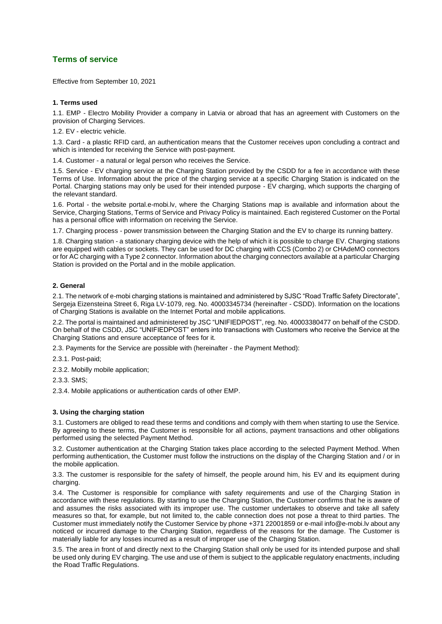# **Terms of service**

Effective from September 10, 2021

#### **1. Terms used**

1.1. EMP - Electro Mobility Provider a company in Latvia or abroad that has an agreement with Customers on the provision of Charging Services.

1.2. EV - electric vehicle.

1.3. Card - a plastic RFID card, an authentication means that the Customer receives upon concluding a contract and which is intended for receiving the Service with post-payment.

1.4. Customer - a natural or legal person who receives the Service.

1.5. Service - EV charging service at the Charging Station provided by the CSDD for a fee in accordance with these Terms of Use. Information about the price of the charging service at a specific Charging Station is indicated on the Portal. Charging stations may only be used for their intended purpose - EV charging, which supports the charging of the relevant standard.

1.6. Portal - the website portal.e-mobi.lv, where the Charging Stations map is available and information about the Service, Charging Stations, Terms of Service and Privacy Policy is maintained. Each registered Customer on the Portal has a personal office with information on receiving the Service.

1.7. Charging process - power transmission between the Charging Station and the EV to charge its running battery.

1.8. Charging station - a stationary charging device with the help of which it is possible to charge EV. Charging stations are equipped with cables or sockets. They can be used for DC charging with CCS (Combo 2) or CHAdeMO connectors or for AC charging with a Type 2 connector. Information about the charging connectors available at a particular Charging Station is provided on the Portal and in the mobile application.

## **2. General**

2.1. The network of e-mobi charging stations is maintained and administered by SJSC "Road Traffic Safety Directorate", Sergeja Eizensteina Street 6, Riga LV-1079, reg. No. 40003345734 (hereinafter - CSDD). Information on the locations of Charging Stations is available on the Internet Portal and mobile applications.

2.2. The portal is maintained and administered by JSC "UNIFIEDPOST", reg. No. 40003380477 on behalf of the CSDD. On behalf of the CSDD, JSC "UNIFIEDPOST" enters into transactions with Customers who receive the Service at the Charging Stations and ensure acceptance of fees for it.

2.3. Payments for the Service are possible with (hereinafter - the Payment Method):

2.3.1. Post-paid;

2.3.2. Mobilly mobile application;

2.3.3. SMS;

2.3.4. Mobile applications or authentication cards of other EMP.

#### **3. Using the charging station**

3.1. Customers are obliged to read these terms and conditions and comply with them when starting to use the Service. By agreeing to these terms, the Customer is responsible for all actions, payment transactions and other obligations performed using the selected Payment Method.

3.2. Customer authentication at the Charging Station takes place according to the selected Payment Method. When performing authentication, the Customer must follow the instructions on the display of the Charging Station and / or in the mobile application.

3.3. The customer is responsible for the safety of himself, the people around him, his EV and its equipment during charging.

3.4. The Customer is responsible for compliance with safety requirements and use of the Charging Station in accordance with these regulations. By starting to use the Charging Station, the Customer confirms that he is aware of and assumes the risks associated with its improper use. The customer undertakes to observe and take all safety measures so that, for example, but not limited to, the cable connection does not pose a threat to third parties. The Customer must immediately notify the Customer Service by phone +371 22001859 or e-mail info@e-mobi.lv about any noticed or incurred damage to the Charging Station, regardless of the reasons for the damage. The Customer is materially liable for any losses incurred as a result of improper use of the Charging Station.

3.5. The area in front of and directly next to the Charging Station shall only be used for its intended purpose and shall be used only during EV charging. The use and use of them is subject to the applicable regulatory enactments, including the Road Traffic Regulations.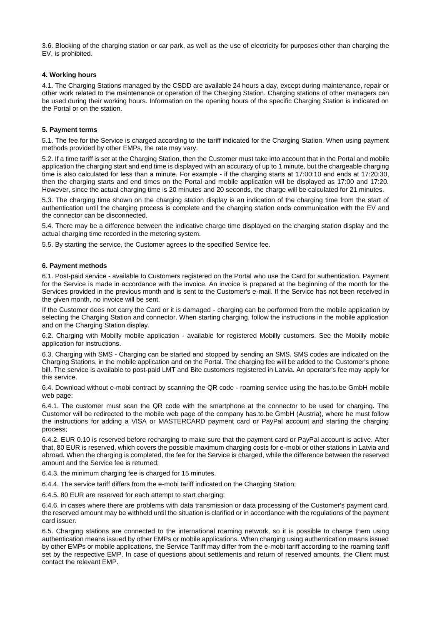3.6. Blocking of the charging station or car park, as well as the use of electricity for purposes other than charging the EV, is prohibited.

## **4. Working hours**

4.1. The Charging Stations managed by the CSDD are available 24 hours a day, except during maintenance, repair or other work related to the maintenance or operation of the Charging Station. Charging stations of other managers can be used during their working hours. Information on the opening hours of the specific Charging Station is indicated on the Portal or on the station.

## **5. Payment terms**

5.1. The fee for the Service is charged according to the tariff indicated for the Charging Station. When using payment methods provided by other EMPs, the rate may vary.

5.2. If a time tariff is set at the Charging Station, then the Customer must take into account that in the Portal and mobile application the charging start and end time is displayed with an accuracy of up to 1 minute, but the chargeable charging time is also calculated for less than a minute. For example - if the charging starts at 17:00:10 and ends at 17:20:30, then the charging starts and end times on the Portal and mobile application will be displayed as 17:00 and 17:20. However, since the actual charging time is 20 minutes and 20 seconds, the charge will be calculated for 21 minutes.

5.3. The charging time shown on the charging station display is an indication of the charging time from the start of authentication until the charging process is complete and the charging station ends communication with the EV and the connector can be disconnected.

5.4. There may be a difference between the indicative charge time displayed on the charging station display and the actual charging time recorded in the metering system.

5.5. By starting the service, the Customer agrees to the specified Service fee.

## **6. Payment methods**

6.1. Post-paid service - available to Customers registered on the Portal who use the Card for authentication. Payment for the Service is made in accordance with the invoice. An invoice is prepared at the beginning of the month for the Services provided in the previous month and is sent to the Customer's e-mail. If the Service has not been received in the given month, no invoice will be sent.

If the Customer does not carry the Card or it is damaged - charging can be performed from the mobile application by selecting the Charging Station and connector. When starting charging, follow the instructions in the mobile application and on the Charging Station display.

6.2. Charging with Mobilly mobile application - available for registered Mobilly customers. See the Mobilly mobile application for instructions.

6.3. Charging with SMS - Charging can be started and stopped by sending an SMS. SMS codes are indicated on the Charging Stations, in the mobile application and on the Portal. The charging fee will be added to the Customer's phone bill. The service is available to post-paid LMT and Bite customers registered in Latvia. An operator's fee may apply for this service.

6.4. Download without e-mobi contract by scanning the QR code - roaming service using the has.to.be GmbH mobile web page:

6.4.1. The customer must scan the QR code with the smartphone at the connector to be used for charging. The Customer will be redirected to the mobile web page of the company has.to.be GmbH (Austria), where he must follow the instructions for adding a VISA or MASTERCARD payment card or PayPal account and starting the charging process;

6.4.2. EUR 0.10 is reserved before recharging to make sure that the payment card or PayPal account is active. After that, 80 EUR is reserved, which covers the possible maximum charging costs for e-mobi or other stations in Latvia and abroad. When the charging is completed, the fee for the Service is charged, while the difference between the reserved amount and the Service fee is returned;

6.4.3. the minimum charging fee is charged for 15 minutes.

6.4.4. The service tariff differs from the e-mobi tariff indicated on the Charging Station;

6.4.5. 80 EUR are reserved for each attempt to start charging;

6.4.6. in cases where there are problems with data transmission or data processing of the Customer's payment card, the reserved amount may be withheld until the situation is clarified or in accordance with the regulations of the payment card issuer.

6.5. Charging stations are connected to the international roaming network, so it is possible to charge them using authentication means issued by other EMPs or mobile applications. When charging using authentication means issued by other EMPs or mobile applications, the Service Tariff may differ from the e-mobi tariff according to the roaming tariff set by the respective EMP. In case of questions about settlements and return of reserved amounts, the Client must contact the relevant EMP.